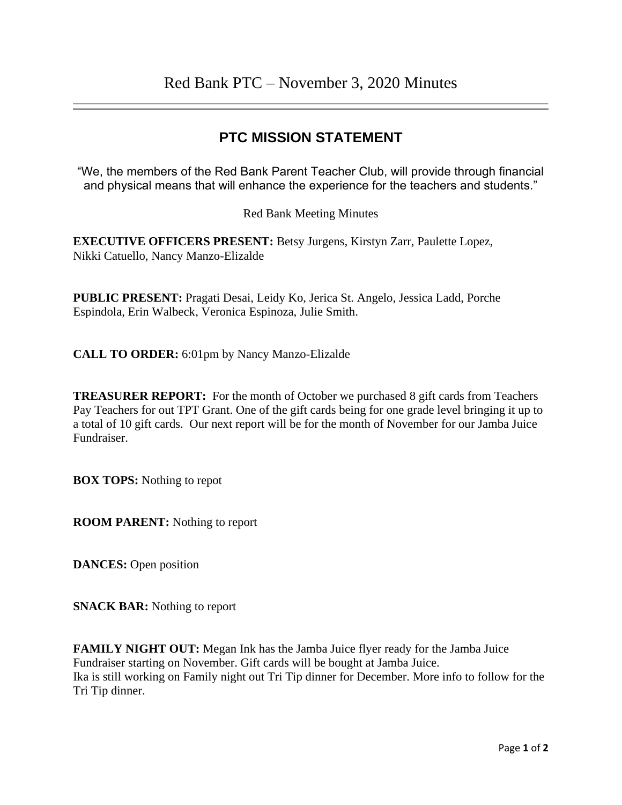## **PTC MISSION STATEMENT**

"We, the members of the Red Bank Parent Teacher Club, will provide through financial and physical means that will enhance the experience for the teachers and students."

## Red Bank Meeting Minutes

**EXECUTIVE OFFICERS PRESENT:** Betsy Jurgens, Kirstyn Zarr, Paulette Lopez, Nikki Catuello, Nancy Manzo-Elizalde

**PUBLIC PRESENT:** Pragati Desai, Leidy Ko, Jerica St. Angelo, Jessica Ladd, Porche Espindola, Erin Walbeck, Veronica Espinoza, Julie Smith.

**CALL TO ORDER:** 6:01pm by Nancy Manzo-Elizalde

**TREASURER REPORT:** For the month of October we purchased 8 gift cards from Teachers Pay Teachers for out TPT Grant. One of the gift cards being for one grade level bringing it up to a total of 10 gift cards. Our next report will be for the month of November for our Jamba Juice Fundraiser.

**BOX TOPS:** Nothing to repot

**ROOM PARENT:** Nothing to report

**DANCES:** Open position

**SNACK BAR:** Nothing to report

**FAMILY NIGHT OUT:** Megan Ink has the Jamba Juice flyer ready for the Jamba Juice Fundraiser starting on November. Gift cards will be bought at Jamba Juice. Ika is still working on Family night out Tri Tip dinner for December. More info to follow for the Tri Tip dinner.